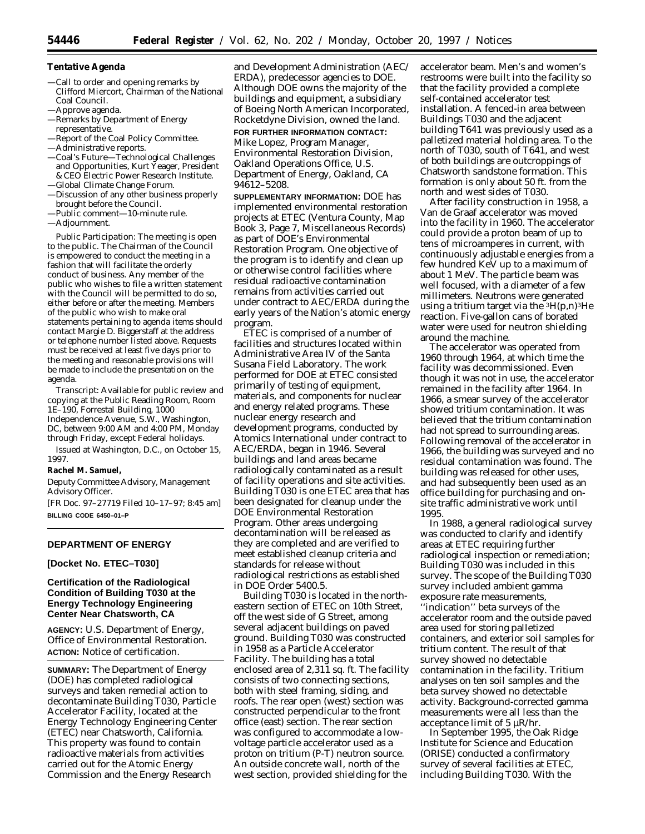### **Tentative Agenda**

- —Call to order and opening remarks by Clifford Miercort, Chairman of the National Coal Council.
- —Approve agenda.
- —Remarks by Department of Energy representative.
- —Report of the Coal Policy Committee.
- —Administrative reports.
- —Coal's Future—Technological Challenges and Opportunities, Kurt Yeager, President & CEO Electric Power Research Institute. —Global Climate Change Forum.
- —Discussion of any other business properly brought before the Council.
- —Public comment—10-minute rule.
- —Adjournment.

*Public Participation:* The meeting is open to the public. The Chairman of the Council is empowered to conduct the meeting in a fashion that will facilitate the orderly conduct of business. Any member of the public who wishes to file a written statement with the Council will be permitted to do so, either before or after the meeting. Members of the public who wish to make oral statements pertaining to agenda items should contact Margie D. Biggerstaff at the address or telephone number listed above. Requests must be received at least five days prior to the meeting and reasonable provisions will be made to include the presentation on the agenda.

*Transcript:* Available for public review and copying at the Public Reading Room, Room 1E–190, Forrestal Building, 1000 Independence Avenue, S.W., Washington, DC, between 9:00 AM and 4:00 PM, Monday through Friday, except Federal holidays.

Issued at Washington, D.C., on October 15, 1997.

#### **Rachel M. Samuel,**

*Deputy Committee Advisory, Management Advisory Officer.*

[FR Doc. 97–27719 Filed 10–17–97; 8:45 am] **BILLING CODE 6450–01–P**

### **DEPARTMENT OF ENERGY**

## **[Docket No. ETEC–T030]**

# **Certification of the Radiological Condition of Building T030 at the Energy Technology Engineering Center Near Chatsworth, CA**

**AGENCY:** U.S. Department of Energy, Office of Environmental Restoration. **ACTION:** Notice of certification.

**SUMMARY:** The Department of Energy (DOE) has completed radiological surveys and taken remedial action to decontaminate Building T030, Particle Accelerator Facility, located at the Energy Technology Engineering Center (ETEC) near Chatsworth, California. This property was found to contain radioactive materials from activities carried out for the Atomic Energy Commission and the Energy Research

and Development Administration (AEC/ ERDA), predecessor agencies to DOE. Although DOE owns the majority of the buildings and equipment, a subsidiary of Boeing North American Incorporated, Rocketdyne Division, owned the land.

### **FOR FURTHER INFORMATION CONTACT:**

Mike Lopez, Program Manager, Environmental Restoration Division, Oakland Operations Office, U.S. Department of Energy, Oakland, CA 94612–5208.

**SUPPLEMENTARY INFORMATION:** DOE has implemented environmental restoration projects at ETEC (Ventura County, Map Book 3, Page 7, Miscellaneous Records) as part of DOE's Environmental Restoration Program. One objective of the program is to identify and clean up or otherwise control facilities where residual radioactive contamination remains from activities carried out under contract to AEC/ERDA during the early years of the Nation's atomic energy program.

ETEC is comprised of a number of facilities and structures located within Administrative Area IV of the Santa Susana Field Laboratory. The work performed for DOE at ETEC consisted primarily of testing of equipment, materials, and components for nuclear and energy related programs. These nuclear energy research and development programs, conducted by Atomics International under contract to AEC/ERDA, began in 1946. Several buildings and land areas became radiologically contaminated as a result of facility operations and site activities. Building T030 is one ETEC area that has been designated for cleanup under the DOE Environmental Restoration Program. Other areas undergoing decontamination will be released as they are completed and are verified to meet established cleanup criteria and standards for release without radiological restrictions as established in DOE Order 5400.5.

Building T030 is located in the northeastern section of ETEC on 10th Street, off the west side of G Street, among several adjacent buildings on paved ground. Building T030 was constructed in 1958 as a Particle Accelerator Facility. The building has a total enclosed area of 2,311 sq. ft. The facility consists of two connecting sections, both with steel framing, siding, and roofs. The rear open (west) section was constructed perpendicular to the front office (east) section. The rear section was configured to accommodate a lowvoltage particle accelerator used as a proton on tritium (P-T) neutron source. An outside concrete wall, north of the west section, provided shielding for the

accelerator beam. Men's and women's restrooms were built into the facility so that the facility provided a complete self-contained accelerator test installation. A fenced-in area between Buildings T030 and the adjacent building T641 was previously used as a palletized material holding area. To the north of T030, south of T641, and west of both buildings are outcroppings of Chatsworth sandstone formation. This formation is only about 50 ft. from the north and west sides of T030.

After facility construction in 1958, a Van de Graaf accelerator was moved into the facility in 1960. The accelerator could provide a proton beam of up to tens of microamperes in current, with continuously adjustable energies from a few hundred KeV up to a maximum of about 1 MeV. The particle beam was well focused, with a diameter of a few millimeters. Neutrons were generated using a tritium target via the  ${}^{3}H(p,n)$ <sup>3</sup>He reaction. Five-gallon cans of borated water were used for neutron shielding around the machine.

The accelerator was operated from 1960 through 1964, at which time the facility was decommissioned. Even though it was not in use, the accelerator remained in the facility after 1964. In 1966, a smear survey of the accelerator showed tritium contamination. It was believed that the tritium contamination had not spread to surrounding areas. Following removal of the accelerator in 1966, the building was surveyed and no residual contamination was found. The building was released for other uses, and had subsequently been used as an office building for purchasing and onsite traffic administrative work until 1995.

In 1988, a general radiological survey was conducted to clarify and identify areas at ETEC requiring further radiological inspection or remediation; Building T030 was included in this survey. The scope of the Building T030 survey included ambient gamma exposure rate measurements, ''indication'' beta surveys of the accelerator room and the outside paved area used for storing palletized containers, and exterior soil samples for tritium content. The result of that survey showed no detectable contamination in the facility. Tritium analyses on ten soil samples and the beta survey showed no detectable activity. Background-corrected gamma measurements were all less than the acceptance limit of 5 µR/hr.

In September 1995, the Oak Ridge Institute for Science and Education (ORISE) conducted a confirmatory survey of several facilities at ETEC, including Building T030. With the